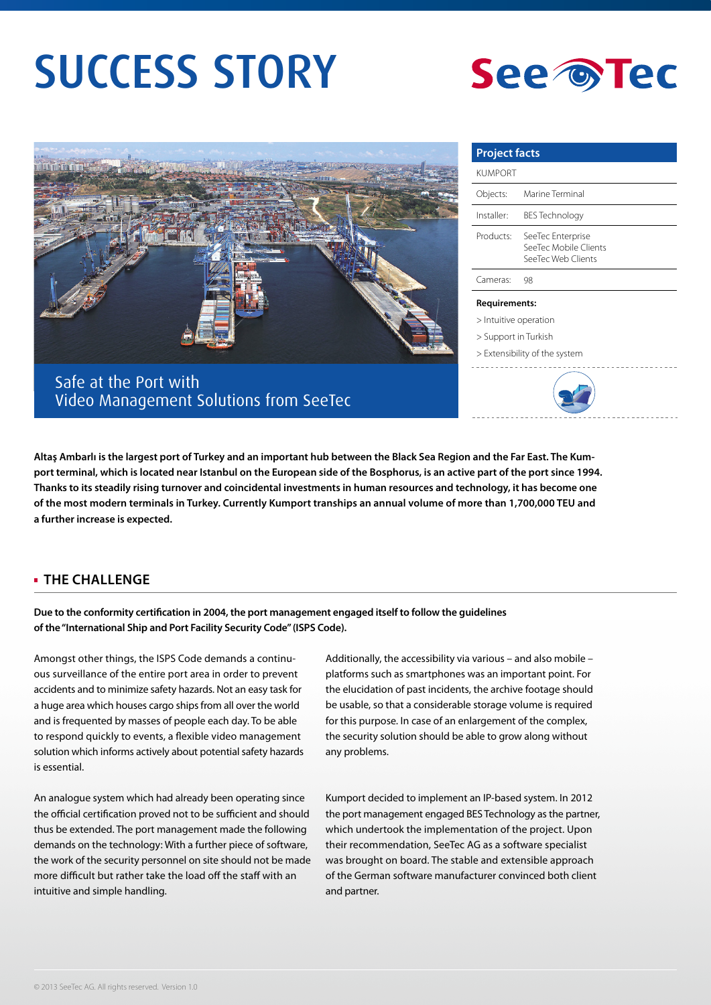# SUCCESS STORY





Safe at the Port with Video Management Solutions from SeeTec

| <b>Project facts</b>  |                                                                  |
|-----------------------|------------------------------------------------------------------|
| <b>KUMPORT</b>        |                                                                  |
| Objects:              | Marine Terminal                                                  |
| Installer:            | <b>BES Technology</b>                                            |
| Products:             | SeeTec Enterprise<br>SeeTec Mobile Clients<br>SeeTec Web Clients |
| Cameras:              | 98                                                               |
| <b>Requirements:</b>  |                                                                  |
| > Intuitive operation |                                                                  |

> Support in Turkish

> Extensibility of the system



**Altaş Ambarlı is the largest port of Turkey and an important hub between the Black Sea Region and the Far East. The Kumport terminal, which is located near Istanbul on the European side of the Bosphorus, is an active part of the port since 1994. Thanks to its steadily rising turnover and coincidental investments in human resources and technology, it has become one of the most modern terminals in Turkey. Currently Kumport tranships an annual volume of more than 1,700,000 TEU and a further increase is expected.** 

### **THE CHALLENGE**

**Due to the conformity certification in 2004, the port management engaged itself to follow the guidelines of the "International Ship and Port Facility Security Code" (ISPS Code).** 

Amongst other things, the ISPS Code demands a continuous surveillance of the entire port area in order to prevent accidents and to minimize safety hazards. Not an easy task for a huge area which houses cargo ships from all over the world and is frequented by masses of people each day. To be able to respond quickly to events, a flexible video management solution which informs actively about potential safety hazards is essential.

An analogue system which had already been operating since the official certification proved not to be sufficient and should thus be extended. The port management made the following demands on the technology: With a further piece of software, the work of the security personnel on site should not be made more difficult but rather take the load off the staff with an intuitive and simple handling.

Additionally, the accessibility via various – and also mobile – platforms such as smartphones was an important point. For the elucidation of past incidents, the archive footage should be usable, so that a considerable storage volume is required for this purpose. In case of an enlargement of the complex, the security solution should be able to grow along without any problems.

Kumport decided to implement an IP-based system. In 2012 the port management engaged BES Technology as the partner, which undertook the implementation of the project. Upon their recommendation, SeeTec AG as a software specialist was brought on board. The stable and extensible approach of the German software manufacturer convinced both client and partner.